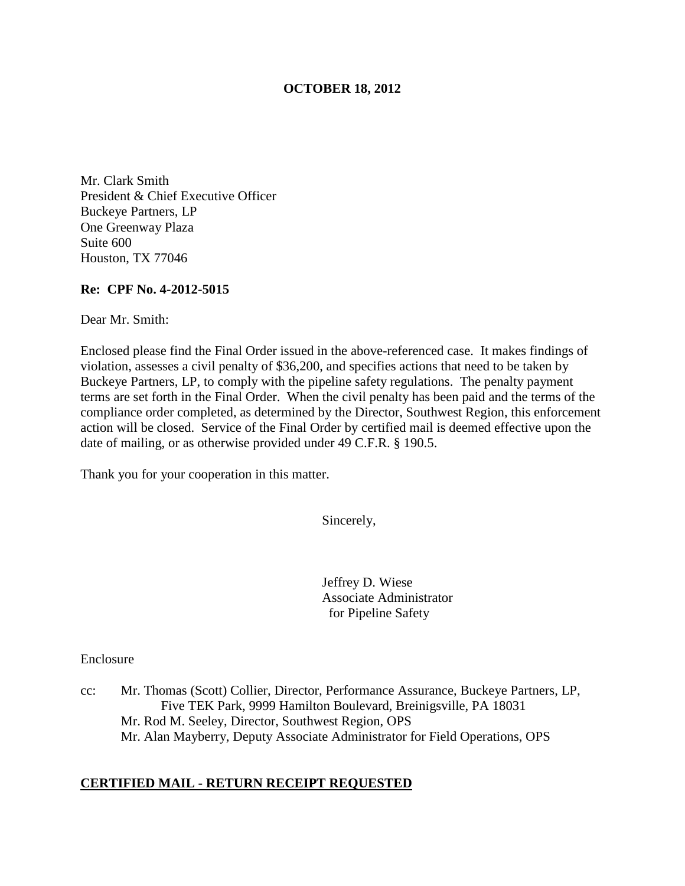### **OCTOBER 18, 2012**

Mr. Clark Smith President & Chief Executive Officer Buckeye Partners, LP One Greenway Plaza Suite 600 Houston, TX 77046

#### **Re: CPF No. 4-2012-5015**

Dear Mr. Smith:

Enclosed please find the Final Order issued in the above-referenced case. It makes findings of violation, assesses a civil penalty of \$36,200, and specifies actions that need to be taken by Buckeye Partners, LP, to comply with the pipeline safety regulations. The penalty payment terms are set forth in the Final Order. When the civil penalty has been paid and the terms of the compliance order completed, as determined by the Director, Southwest Region, this enforcement action will be closed. Service of the Final Order by certified mail is deemed effective upon the date of mailing, or as otherwise provided under 49 C.F.R. § 190.5.

Thank you for your cooperation in this matter.

Sincerely,

Jeffrey D. Wiese Associate Administrator for Pipeline Safety

Enclosure

cc: Mr. Thomas (Scott) Collier, Director, Performance Assurance, Buckeye Partners, LP, Five TEK Park, 9999 Hamilton Boulevard, Breinigsville, PA 18031 Mr. Rod M. Seeley, Director, Southwest Region, OPS Mr. Alan Mayberry, Deputy Associate Administrator for Field Operations, OPS

### **CERTIFIED MAIL - RETURN RECEIPT REQUESTED**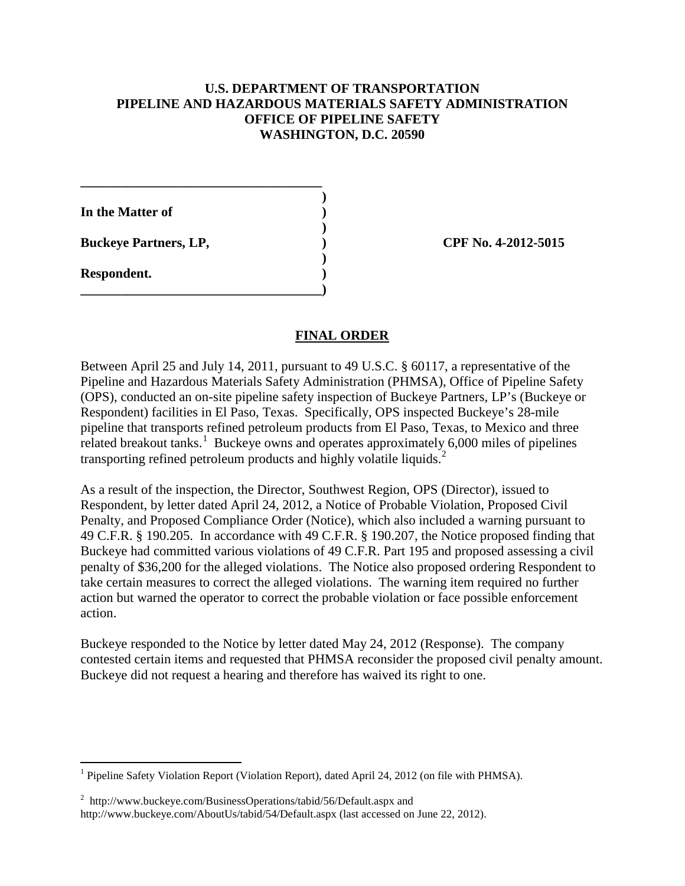## **U.S. DEPARTMENT OF TRANSPORTATION PIPELINE AND HAZARDOUS MATERIALS SAFETY ADMINISTRATION OFFICE OF PIPELINE SAFETY WASHINGTON, D.C. 20590**

**In the Matter of )** 

**Buckeye Partners, LP,**  (2012-5015)

**\_\_\_\_\_\_\_\_\_\_\_\_\_\_\_\_\_\_\_\_\_\_\_\_\_\_\_\_\_\_\_\_\_\_\_\_ )** 

 **)** 

 **)** 

**\_\_\_\_\_\_\_\_\_\_\_\_\_\_\_\_\_\_\_\_\_\_\_\_\_\_\_\_\_\_\_\_\_\_\_\_)** 

**Respondent. )** 

 $\overline{a}$ 

# **FINAL ORDER**

Between April 25 and July 14, 2011, pursuant to 49 U.S.C. § 60117, a representative of the Pipeline and Hazardous Materials Safety Administration (PHMSA), Office of Pipeline Safety (OPS), conducted an on-site pipeline safety inspection of Buckeye Partners, LP's (Buckeye or Respondent) facilities in El Paso, Texas. Specifically, OPS inspected Buckeye's 28-mile pipeline that transports refined petroleum products from El Paso, Texas, to Mexico and three related breakout tanks.<sup>1</sup> Buckeye owns and operates approximately 6,000 miles of pipelines transporting refined petroleum products and highly volatile liquids.<sup>2</sup>

As a result of the inspection, the Director, Southwest Region, OPS (Director), issued to Respondent, by letter dated April 24, 2012, a Notice of Probable Violation, Proposed Civil Penalty, and Proposed Compliance Order (Notice), which also included a warning pursuant to 49 C.F.R. § 190.205. In accordance with 49 C.F.R. § 190.207, the Notice proposed finding that Buckeye had committed various violations of 49 C.F.R. Part 195 and proposed assessing a civil penalty of \$36,200 for the alleged violations. The Notice also proposed ordering Respondent to take certain measures to correct the alleged violations. The warning item required no further action but warned the operator to correct the probable violation or face possible enforcement action.

Buckeye responded to the Notice by letter dated May 24, 2012 (Response). The company contested certain items and requested that PHMSA reconsider the proposed civil penalty amount. Buckeye did not request a hearing and therefore has waived its right to one.

<sup>&</sup>lt;sup>1</sup> Pipeline Safety Violation Report (Violation Report), dated April 24, 2012 (on file with PHMSA).

 $2$  http://www.buckeye.com/BusinessOperations/tabid/56/Default.aspx and http://www.buckeye.com/AboutUs/tabid/54/Default.aspx (last accessed on June 22, 2012).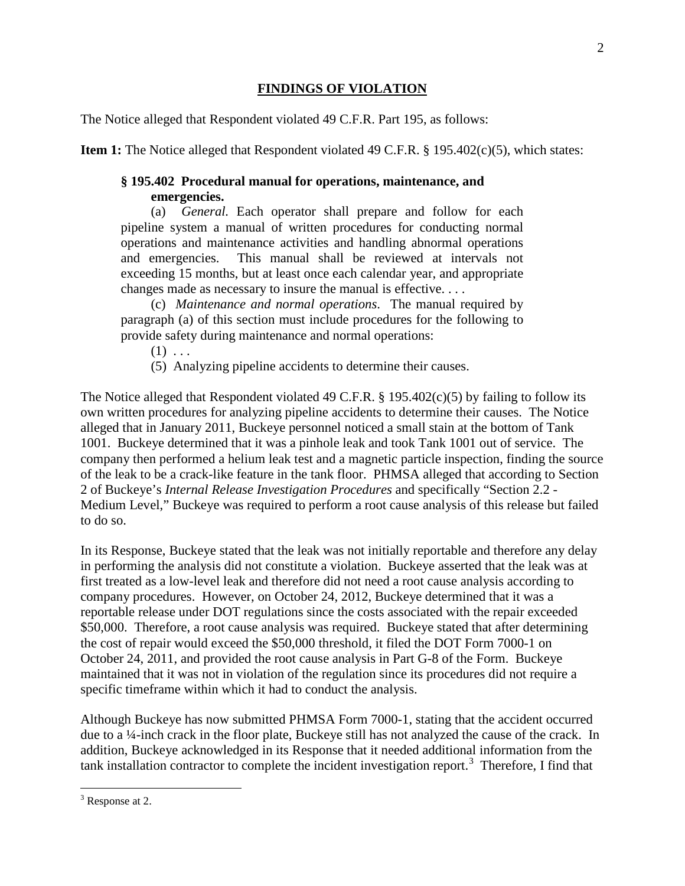# **FINDINGS OF VIOLATION**

The Notice alleged that Respondent violated 49 C.F.R. Part 195, as follows:

**Item 1:** The Notice alleged that Respondent violated 49 C.F.R. § 195.402(c)(5), which states:

# **§ 195.402 Procedural manual for operations, maintenance, and emergencies.**

(a) *General.* Each operator shall prepare and follow for each pipeline system a manual of written procedures for conducting normal operations and maintenance activities and handling abnormal operations and emergencies. This manual shall be reviewed at intervals not exceeding 15 months, but at least once each calendar year, and appropriate changes made as necessary to insure the manual is effective. . . .

(c) *Maintenance and normal operations*. The manual required by paragraph (a) of this section must include procedures for the following to provide safety during maintenance and normal operations:

 $(1) \ldots$ 

(5) Analyzing pipeline accidents to determine their causes.

The Notice alleged that Respondent violated 49 C.F.R. § 195.402(c)(5) by failing to follow its own written procedures for analyzing pipeline accidents to determine their causes. The Notice alleged that in January 2011, Buckeye personnel noticed a small stain at the bottom of Tank 1001. Buckeye determined that it was a pinhole leak and took Tank 1001 out of service. The company then performed a helium leak test and a magnetic particle inspection, finding the source of the leak to be a crack-like feature in the tank floor. PHMSA alleged that according to Section 2 of Buckeye's *Internal Release Investigation Procedures* and specifically "Section 2.2 - Medium Level," Buckeye was required to perform a root cause analysis of this release but failed to do so.

In its Response, Buckeye stated that the leak was not initially reportable and therefore any delay in performing the analysis did not constitute a violation. Buckeye asserted that the leak was at first treated as a low-level leak and therefore did not need a root cause analysis according to company procedures. However, on October 24, 2012, Buckeye determined that it was a reportable release under DOT regulations since the costs associated with the repair exceeded \$50,000. Therefore, a root cause analysis was required. Buckeye stated that after determining the cost of repair would exceed the \$50,000 threshold, it filed the DOT Form 7000-1 on October 24, 2011, and provided the root cause analysis in Part G-8 of the Form. Buckeye maintained that it was not in violation of the regulation since its procedures did not require a specific timeframe within which it had to conduct the analysis.

Although Buckeye has now submitted PHMSA Form 7000-1, stating that the accident occurred due to a ¼-inch crack in the floor plate, Buckeye still has not analyzed the cause of the crack. In addition, Buckeye acknowledged in its Response that it needed additional information from the tank installation contractor to complete the incident investigation report.<sup>3</sup> Therefore, I find that

 $\overline{a}$ <sup>3</sup> Response at 2.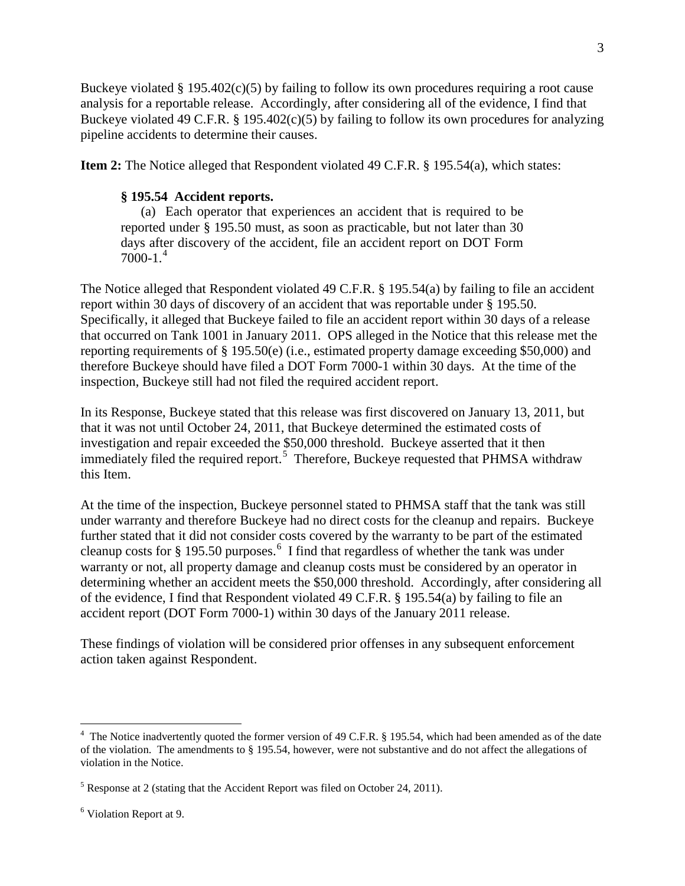Buckeye violated  $\S 195.402(c)(5)$  by failing to follow its own procedures requiring a root cause analysis for a reportable release. Accordingly, after considering all of the evidence, I find that Buckeye violated 49 C.F.R. § 195.402(c)(5) by failing to follow its own procedures for analyzing pipeline accidents to determine their causes.

**Item 2:** The Notice alleged that Respondent violated 49 C.F.R. § 195.54(a), which states:

## **§ 195.54 Accident reports.**

(a) Each operator that experiences an accident that is required to be reported under § 195.50 must, as soon as practicable, but not later than 30 days after discovery of the accident, file an accident report on DOT Form  $7000-1.<sup>4</sup>$ 

The Notice alleged that Respondent violated 49 C.F.R. § 195.54(a) by failing to file an accident report within 30 days of discovery of an accident that was reportable under § 195.50. Specifically, it alleged that Buckeye failed to file an accident report within 30 days of a release that occurred on Tank 1001 in January 2011. OPS alleged in the Notice that this release met the reporting requirements of § 195.50(e) (i.e., estimated property damage exceeding \$50,000) and therefore Buckeye should have filed a DOT Form 7000-1 within 30 days. At the time of the inspection, Buckeye still had not filed the required accident report.

In its Response, Buckeye stated that this release was first discovered on January 13, 2011, but that it was not until October 24, 2011, that Buckeye determined the estimated costs of investigation and repair exceeded the \$50,000 threshold. Buckeye asserted that it then immediately filed the required report.<sup>5</sup> Therefore, Buckeye requested that PHMSA withdraw this Item.

At the time of the inspection, Buckeye personnel stated to PHMSA staff that the tank was still under warranty and therefore Buckeye had no direct costs for the cleanup and repairs. Buckeye further stated that it did not consider costs covered by the warranty to be part of the estimated cleanup costs for § 195.50 purposes.<sup>6</sup> I find that regardless of whether the tank was under warranty or not, all property damage and cleanup costs must be considered by an operator in determining whether an accident meets the \$50,000 threshold. Accordingly, after considering all of the evidence, I find that Respondent violated 49 C.F.R. § 195.54(a) by failing to file an accident report (DOT Form 7000-1) within 30 days of the January 2011 release.

These findings of violation will be considered prior offenses in any subsequent enforcement action taken against Respondent.

 $\overline{a}$ 

<sup>&</sup>lt;sup>4</sup> The Notice inadvertently quoted the former version of 49 C.F.R. § 195.54, which had been amended as of the date of the violation. The amendments to § 195.54, however, were not substantive and do not affect the allegations of violation in the Notice.

 $5$  Response at 2 (stating that the Accident Report was filed on October 24, 2011).

<sup>6</sup> Violation Report at 9.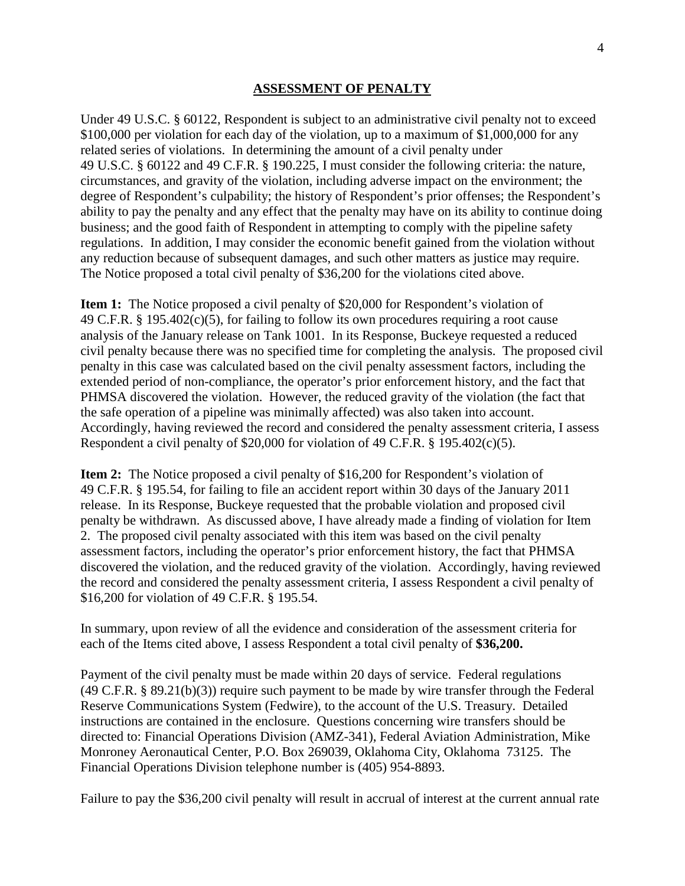#### **ASSESSMENT OF PENALTY**

Under 49 U.S.C. § 60122, Respondent is subject to an administrative civil penalty not to exceed \$100,000 per violation for each day of the violation, up to a maximum of \$1,000,000 for any related series of violations. In determining the amount of a civil penalty under 49 U.S.C. § 60122 and 49 C.F.R. § 190.225, I must consider the following criteria: the nature, circumstances, and gravity of the violation, including adverse impact on the environment; the degree of Respondent's culpability; the history of Respondent's prior offenses; the Respondent's ability to pay the penalty and any effect that the penalty may have on its ability to continue doing business; and the good faith of Respondent in attempting to comply with the pipeline safety regulations. In addition, I may consider the economic benefit gained from the violation without any reduction because of subsequent damages, and such other matters as justice may require. The Notice proposed a total civil penalty of \$36,200 for the violations cited above.

**Item 1:** The Notice proposed a civil penalty of \$20,000 for Respondent's violation of 49 C.F.R. § 195.402(c)(5), for failing to follow its own procedures requiring a root cause analysis of the January release on Tank 1001. In its Response, Buckeye requested a reduced civil penalty because there was no specified time for completing the analysis. The proposed civil penalty in this case was calculated based on the civil penalty assessment factors, including the extended period of non-compliance, the operator's prior enforcement history, and the fact that PHMSA discovered the violation. However, the reduced gravity of the violation (the fact that the safe operation of a pipeline was minimally affected) was also taken into account. Accordingly, having reviewed the record and considered the penalty assessment criteria, I assess Respondent a civil penalty of \$20,000 for violation of 49 C.F.R. § 195.402(c)(5).

**Item 2:** The Notice proposed a civil penalty of \$16,200 for Respondent's violation of 49 C.F.R. § 195.54, for failing to file an accident report within 30 days of the January 2011 release. In its Response, Buckeye requested that the probable violation and proposed civil penalty be withdrawn. As discussed above, I have already made a finding of violation for Item 2. The proposed civil penalty associated with this item was based on the civil penalty assessment factors, including the operator's prior enforcement history, the fact that PHMSA discovered the violation, and the reduced gravity of the violation. Accordingly, having reviewed the record and considered the penalty assessment criteria, I assess Respondent a civil penalty of \$16,200 for violation of 49 C.F.R. § 195.54.

In summary, upon review of all the evidence and consideration of the assessment criteria for each of the Items cited above, I assess Respondent a total civil penalty of **\$36,200.**

Payment of the civil penalty must be made within 20 days of service. Federal regulations (49 C.F.R. § 89.21(b)(3)) require such payment to be made by wire transfer through the Federal Reserve Communications System (Fedwire), to the account of the U.S. Treasury. Detailed instructions are contained in the enclosure. Questions concerning wire transfers should be directed to: Financial Operations Division (AMZ-341), Federal Aviation Administration, Mike Monroney Aeronautical Center, P.O. Box 269039, Oklahoma City, Oklahoma 73125. The Financial Operations Division telephone number is (405) 954-8893.

Failure to pay the \$36,200 civil penalty will result in accrual of interest at the current annual rate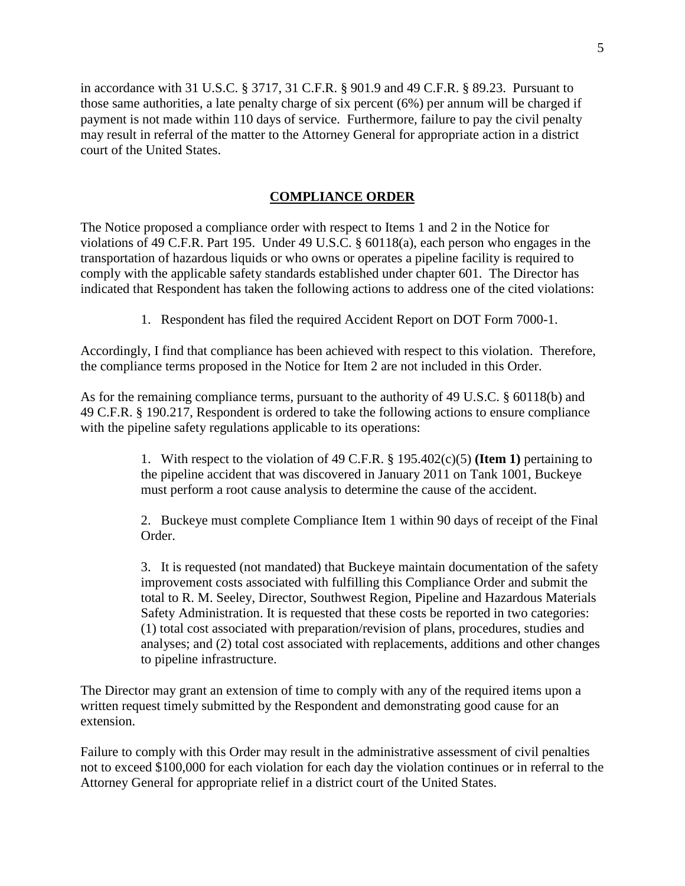in accordance with 31 U.S.C. § 3717, 31 C.F.R. § 901.9 and 49 C.F.R. § 89.23. Pursuant to those same authorities, a late penalty charge of six percent (6%) per annum will be charged if payment is not made within 110 days of service. Furthermore, failure to pay the civil penalty may result in referral of the matter to the Attorney General for appropriate action in a district court of the United States.

#### **COMPLIANCE ORDER**

The Notice proposed a compliance order with respect to Items 1 and 2 in the Notice for violations of 49 C.F.R. Part 195. Under 49 U.S.C. § 60118(a), each person who engages in the transportation of hazardous liquids or who owns or operates a pipeline facility is required to comply with the applicable safety standards established under chapter 601. The Director has indicated that Respondent has taken the following actions to address one of the cited violations:

1. Respondent has filed the required Accident Report on DOT Form 7000-1.

Accordingly, I find that compliance has been achieved with respect to this violation. Therefore, the compliance terms proposed in the Notice for Item 2 are not included in this Order.

As for the remaining compliance terms, pursuant to the authority of 49 U.S.C. § 60118(b) and 49 C.F.R. § 190.217, Respondent is ordered to take the following actions to ensure compliance with the pipeline safety regulations applicable to its operations:

> 1. With respect to the violation of 49 C.F.R. § 195.402(c)(5) **(Item 1)** pertaining to the pipeline accident that was discovered in January 2011 on Tank 1001, Buckeye must perform a root cause analysis to determine the cause of the accident.

2. Buckeye must complete Compliance Item 1 within 90 days of receipt of the Final Order.

3. It is requested (not mandated) that Buckeye maintain documentation of the safety improvement costs associated with fulfilling this Compliance Order and submit the total to R. M. Seeley, Director, Southwest Region, Pipeline and Hazardous Materials Safety Administration. It is requested that these costs be reported in two categories: (1) total cost associated with preparation/revision of plans, procedures, studies and analyses; and (2) total cost associated with replacements, additions and other changes to pipeline infrastructure.

The Director may grant an extension of time to comply with any of the required items upon a written request timely submitted by the Respondent and demonstrating good cause for an extension.

Failure to comply with this Order may result in the administrative assessment of civil penalties not to exceed \$100,000 for each violation for each day the violation continues or in referral to the Attorney General for appropriate relief in a district court of the United States.